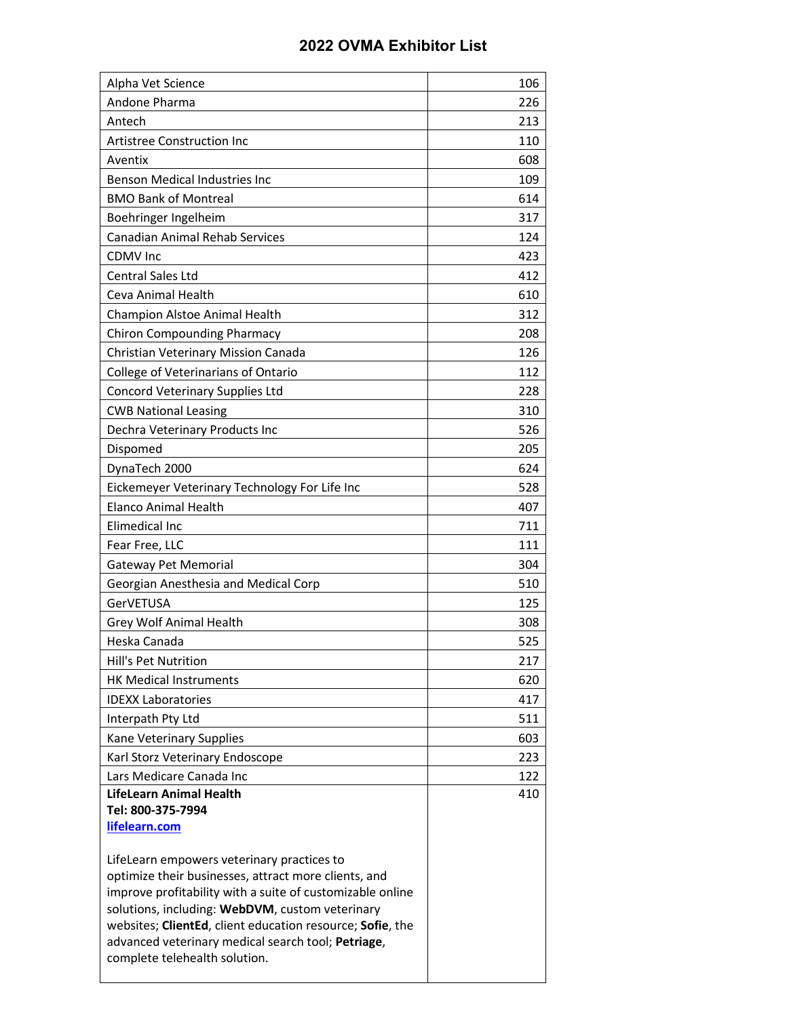## **2022 OVMA Exhibitor List**

| Alpha Vet Science                                                                                            | 106 |
|--------------------------------------------------------------------------------------------------------------|-----|
| Andone Pharma                                                                                                | 226 |
| Antech                                                                                                       | 213 |
| <b>Artistree Construction Inc</b>                                                                            | 110 |
| Aventix                                                                                                      | 608 |
| <b>Benson Medical Industries Inc</b>                                                                         | 109 |
| <b>BMO Bank of Montreal</b>                                                                                  | 614 |
| Boehringer Ingelheim                                                                                         | 317 |
| <b>Canadian Animal Rehab Services</b>                                                                        | 124 |
| <b>CDMV</b> Inc                                                                                              | 423 |
| <b>Central Sales Ltd</b>                                                                                     | 412 |
| Ceva Animal Health                                                                                           | 610 |
| Champion Alstoe Animal Health                                                                                | 312 |
| <b>Chiron Compounding Pharmacy</b>                                                                           | 208 |
| Christian Veterinary Mission Canada                                                                          | 126 |
| College of Veterinarians of Ontario                                                                          | 112 |
| <b>Concord Veterinary Supplies Ltd</b>                                                                       | 228 |
| <b>CWB National Leasing</b>                                                                                  | 310 |
| Dechra Veterinary Products Inc                                                                               | 526 |
| Dispomed                                                                                                     | 205 |
| DynaTech 2000                                                                                                | 624 |
| Eickemeyer Veterinary Technology For Life Inc                                                                | 528 |
| <b>Elanco Animal Health</b>                                                                                  | 407 |
| Elimedical Inc                                                                                               | 711 |
| Fear Free, LLC                                                                                               | 111 |
| <b>Gateway Pet Memorial</b>                                                                                  | 304 |
| Georgian Anesthesia and Medical Corp                                                                         | 510 |
| <b>GerVETUSA</b>                                                                                             | 125 |
| Grey Wolf Animal Health                                                                                      | 308 |
| Heska Canada                                                                                                 | 525 |
| Hill's Pet Nutrition                                                                                         | 217 |
| <b>HK Medical Instruments</b>                                                                                | 620 |
| <b>IDEXX Laboratories</b>                                                                                    | 417 |
| Interpath Pty Ltd                                                                                            | 511 |
| Kane Veterinary Supplies                                                                                     | 603 |
| Karl Storz Veterinary Endoscope                                                                              | 223 |
| Lars Medicare Canada Inc                                                                                     | 122 |
| LifeLearn Animal Health                                                                                      | 410 |
| Tel: 800-375-7994<br>lifelearn.com                                                                           |     |
|                                                                                                              |     |
| LifeLearn empowers veterinary practices to                                                                   |     |
| optimize their businesses, attract more clients, and                                                         |     |
| improve profitability with a suite of customizable online                                                    |     |
| solutions, including: WebDVM, custom veterinary<br>websites; ClientEd, client education resource; Sofie, the |     |
| advanced veterinary medical search tool; Petriage,                                                           |     |
| complete telehealth solution.                                                                                |     |
|                                                                                                              |     |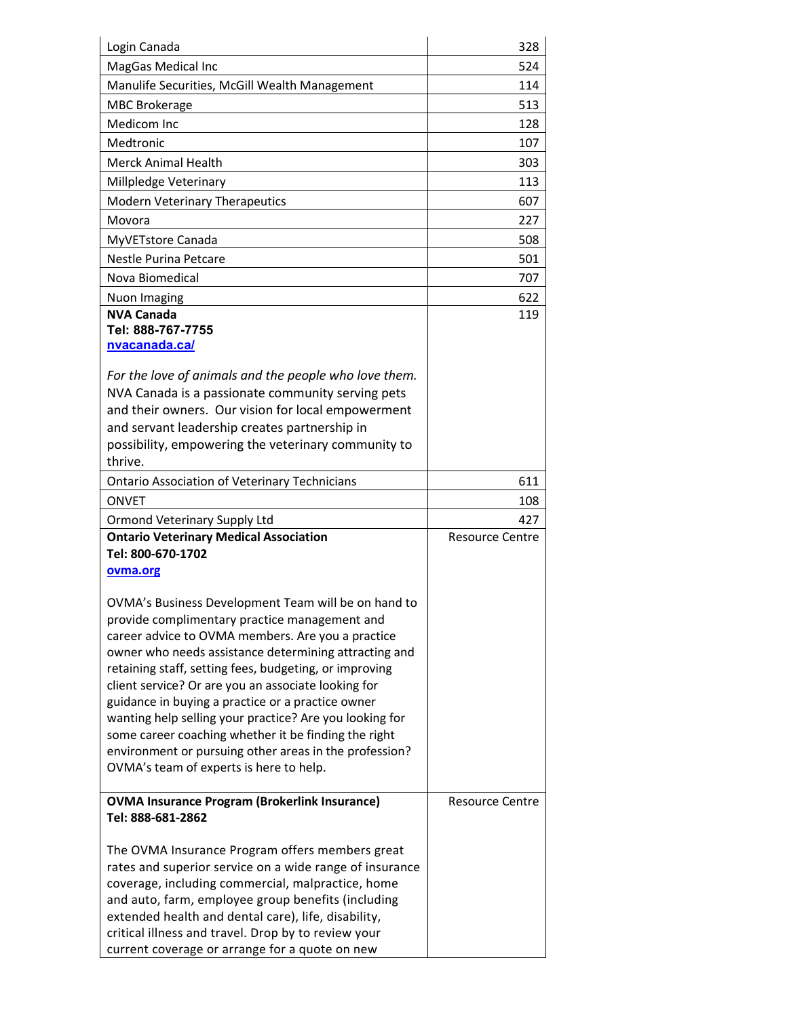| Login Canada                                                                                                  | 328                    |
|---------------------------------------------------------------------------------------------------------------|------------------------|
| MagGas Medical Inc                                                                                            | 524                    |
| Manulife Securities, McGill Wealth Management                                                                 | 114                    |
| <b>MBC Brokerage</b>                                                                                          | 513                    |
| Medicom Inc                                                                                                   | 128                    |
| Medtronic                                                                                                     | 107                    |
| <b>Merck Animal Health</b>                                                                                    | 303                    |
| Millpledge Veterinary                                                                                         | 113                    |
| <b>Modern Veterinary Therapeutics</b>                                                                         | 607                    |
| Movora                                                                                                        | 227                    |
| MyVETstore Canada                                                                                             | 508                    |
| <b>Nestle Purina Petcare</b>                                                                                  | 501                    |
| Nova Biomedical                                                                                               | 707                    |
| <b>Nuon Imaging</b>                                                                                           | 622                    |
| <b>NVA Canada</b><br>Tel: 888-767-7755<br>nvacanada.ca/                                                       | 119                    |
| For the love of animals and the people who love them.                                                         |                        |
| NVA Canada is a passionate community serving pets                                                             |                        |
| and their owners. Our vision for local empowerment                                                            |                        |
| and servant leadership creates partnership in                                                                 |                        |
| possibility, empowering the veterinary community to<br>thrive.                                                |                        |
| <b>Ontario Association of Veterinary Technicians</b>                                                          | 611                    |
| <b>ONVET</b>                                                                                                  | 108                    |
| Ormond Veterinary Supply Ltd                                                                                  | 427                    |
| <b>Ontario Veterinary Medical Association</b>                                                                 | Resource Centre        |
| Tel: 800-670-1702                                                                                             |                        |
| ovma.org                                                                                                      |                        |
| OVMA's Business Development Team will be on hand to                                                           |                        |
| provide complimentary practice management and                                                                 |                        |
| career advice to OVMA members. Are you a practice                                                             |                        |
| owner who needs assistance determining attracting and                                                         |                        |
| retaining staff, setting fees, budgeting, or improving<br>client service? Or are you an associate looking for |                        |
| guidance in buying a practice or a practice owner                                                             |                        |
| wanting help selling your practice? Are you looking for                                                       |                        |
| some career coaching whether it be finding the right                                                          |                        |
| environment or pursuing other areas in the profession?                                                        |                        |
| OVMA's team of experts is here to help.                                                                       |                        |
|                                                                                                               |                        |
| <b>OVMA Insurance Program (Brokerlink Insurance)</b><br>Tel: 888-681-2862                                     | <b>Resource Centre</b> |
| The OVMA Insurance Program offers members great                                                               |                        |
| rates and superior service on a wide range of insurance                                                       |                        |
| coverage, including commercial, malpractice, home                                                             |                        |
| and auto, farm, employee group benefits (including                                                            |                        |
|                                                                                                               |                        |
| extended health and dental care), life, disability,<br>critical illness and travel. Drop by to review your    |                        |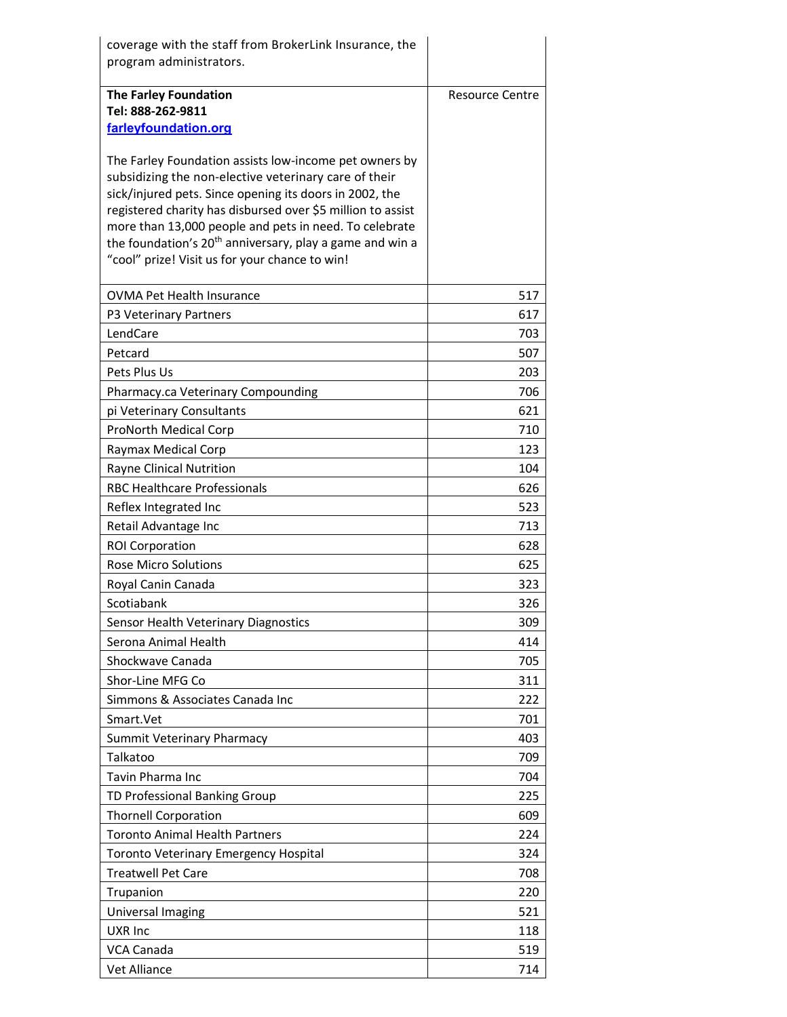| coverage with the staff from BrokerLink Insurance, the<br>program administrators.                                                                                                                                                                                                                                                                                                                                             |                 |
|-------------------------------------------------------------------------------------------------------------------------------------------------------------------------------------------------------------------------------------------------------------------------------------------------------------------------------------------------------------------------------------------------------------------------------|-----------------|
| <b>The Farley Foundation</b><br>Tel: 888-262-9811                                                                                                                                                                                                                                                                                                                                                                             | Resource Centre |
| farleyfoundation.org                                                                                                                                                                                                                                                                                                                                                                                                          |                 |
| The Farley Foundation assists low-income pet owners by<br>subsidizing the non-elective veterinary care of their<br>sick/injured pets. Since opening its doors in 2002, the<br>registered charity has disbursed over \$5 million to assist<br>more than 13,000 people and pets in need. To celebrate<br>the foundation's 20 <sup>th</sup> anniversary, play a game and win a<br>"cool" prize! Visit us for your chance to win! |                 |
| <b>OVMA Pet Health Insurance</b>                                                                                                                                                                                                                                                                                                                                                                                              | 517             |
| P3 Veterinary Partners                                                                                                                                                                                                                                                                                                                                                                                                        | 617             |
| LendCare                                                                                                                                                                                                                                                                                                                                                                                                                      | 703             |
| Petcard                                                                                                                                                                                                                                                                                                                                                                                                                       | 507             |
| Pets Plus Us                                                                                                                                                                                                                                                                                                                                                                                                                  | 203             |
| Pharmacy.ca Veterinary Compounding                                                                                                                                                                                                                                                                                                                                                                                            | 706             |
| pi Veterinary Consultants                                                                                                                                                                                                                                                                                                                                                                                                     | 621             |
| ProNorth Medical Corp                                                                                                                                                                                                                                                                                                                                                                                                         | 710             |
| Raymax Medical Corp                                                                                                                                                                                                                                                                                                                                                                                                           | 123             |
| Rayne Clinical Nutrition                                                                                                                                                                                                                                                                                                                                                                                                      | 104             |
| <b>RBC Healthcare Professionals</b>                                                                                                                                                                                                                                                                                                                                                                                           | 626             |
| Reflex Integrated Inc                                                                                                                                                                                                                                                                                                                                                                                                         | 523             |
| Retail Advantage Inc                                                                                                                                                                                                                                                                                                                                                                                                          | 713             |
| <b>ROI Corporation</b>                                                                                                                                                                                                                                                                                                                                                                                                        | 628             |
| <b>Rose Micro Solutions</b>                                                                                                                                                                                                                                                                                                                                                                                                   | 625             |
| Royal Canin Canada                                                                                                                                                                                                                                                                                                                                                                                                            | 323             |
| Scotiabank                                                                                                                                                                                                                                                                                                                                                                                                                    | 326             |
| Sensor Health Veterinary Diagnostics                                                                                                                                                                                                                                                                                                                                                                                          | 309             |
| Serona Animal Health                                                                                                                                                                                                                                                                                                                                                                                                          | 414             |
| Shockwave Canada                                                                                                                                                                                                                                                                                                                                                                                                              | 705             |
| Shor-Line MFG Co                                                                                                                                                                                                                                                                                                                                                                                                              | 311             |
| Simmons & Associates Canada Inc                                                                                                                                                                                                                                                                                                                                                                                               | 222             |
| Smart.Vet                                                                                                                                                                                                                                                                                                                                                                                                                     | 701             |
| <b>Summit Veterinary Pharmacy</b>                                                                                                                                                                                                                                                                                                                                                                                             | 403             |
| Talkatoo                                                                                                                                                                                                                                                                                                                                                                                                                      | 709             |
| <b>Tavin Pharma Inc</b>                                                                                                                                                                                                                                                                                                                                                                                                       | 704             |
| TD Professional Banking Group                                                                                                                                                                                                                                                                                                                                                                                                 | 225             |
| <b>Thornell Corporation</b>                                                                                                                                                                                                                                                                                                                                                                                                   | 609             |
| <b>Toronto Animal Health Partners</b>                                                                                                                                                                                                                                                                                                                                                                                         | 224             |
| <b>Toronto Veterinary Emergency Hospital</b>                                                                                                                                                                                                                                                                                                                                                                                  | 324             |
| <b>Treatwell Pet Care</b>                                                                                                                                                                                                                                                                                                                                                                                                     | 708             |
| Trupanion                                                                                                                                                                                                                                                                                                                                                                                                                     | 220             |
| Universal Imaging                                                                                                                                                                                                                                                                                                                                                                                                             | 521             |
| UXR Inc                                                                                                                                                                                                                                                                                                                                                                                                                       | 118             |
| VCA Canada                                                                                                                                                                                                                                                                                                                                                                                                                    | 519             |
| Vet Alliance                                                                                                                                                                                                                                                                                                                                                                                                                  | 714             |